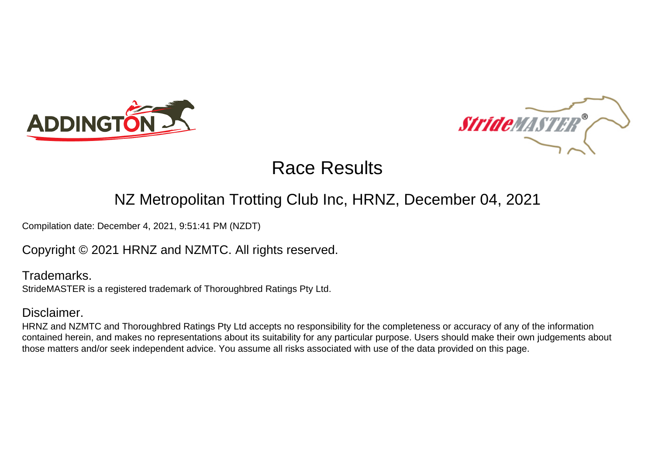



# Race Results

## NZ Metropolitan Trotting Club Inc, HRNZ, December 04, 2021

Compilation date: December 4, 2021, 9:51:41 PM (NZDT)

Copyright © 2021 HRNZ and NZMTC. All rights reserved.

Trademarks. StrideMASTER is a registered trademark of Thoroughbred Ratings Pty Ltd.

### Disclaimer.

HRNZ and NZMTC and Thoroughbred Ratings Pty Ltd accepts no responsibility for the completeness or accuracy of any of the information contained herein, and makes no representations about its suitability for any particular purpose. Users should make their own judgements about those matters and/or seek independent advice. You assume all risks associated with use of the data provided on this page.